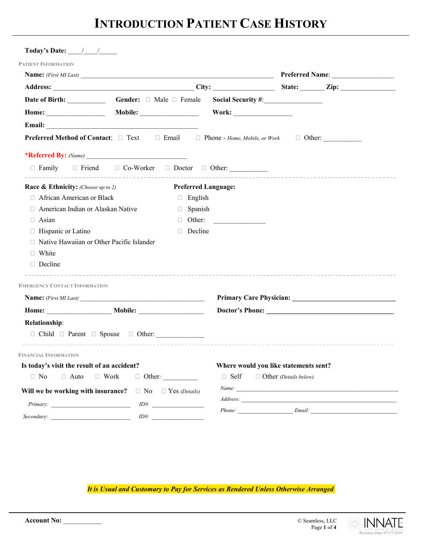# **INTRODUCTION PATIENT CASE HISTORY**

| Today's Date: $\frac{1}{\sqrt{1-\frac{1}{2}}}$                                                          |                                   |                            |                                                      |                              |                      |  |
|---------------------------------------------------------------------------------------------------------|-----------------------------------|----------------------------|------------------------------------------------------|------------------------------|----------------------|--|
| PATIENT INFORMATION                                                                                     |                                   |                            |                                                      |                              |                      |  |
| Name: (First MI Last)                                                                                   |                                   |                            |                                                      |                              |                      |  |
|                                                                                                         |                                   |                            |                                                      |                              |                      |  |
|                                                                                                         | Gender: $\Box$ Male $\Box$ Female |                            |                                                      |                              |                      |  |
| Home:                                                                                                   |                                   |                            |                                                      |                              |                      |  |
|                                                                                                         |                                   |                            |                                                      |                              |                      |  |
| <b>Preferred Method of Contact:</b> □ Text □ Email □ Phone - Home, Mobile, or Work □ Other: ___________ |                                   |                            |                                                      |                              |                      |  |
|                                                                                                         |                                   |                            |                                                      |                              |                      |  |
| □ Family □ Friend □ Co-Worker □ Doctor □ Other:                                                         |                                   |                            |                                                      |                              |                      |  |
| <b>Race &amp; Ethnicity:</b> (Choose up to 2)                                                           |                                   | <b>Preferred Language:</b> |                                                      |                              |                      |  |
| □ African American or Black                                                                             |                                   | $\Box$ English             |                                                      |                              |                      |  |
| American Indian or Alaskan Native                                                                       |                                   | $\Box$ Spanish             |                                                      |                              |                      |  |
| □ Asian                                                                                                 |                                   | П.                         | Other:                                               |                              |                      |  |
| $\Box$ Hispanic or Latino                                                                               |                                   | Decline                    |                                                      |                              |                      |  |
| Native Hawaiian or Other Pacific Islander                                                               |                                   |                            |                                                      |                              |                      |  |
| □ White                                                                                                 |                                   |                            |                                                      |                              |                      |  |
| $\Box$ Decline                                                                                          |                                   |                            |                                                      |                              |                      |  |
| <b>EMERGENCY CONTACT INFORMATION</b>                                                                    |                                   |                            |                                                      |                              |                      |  |
| Name: (First MI Last)                                                                                   |                                   |                            |                                                      |                              |                      |  |
|                                                                                                         |                                   |                            |                                                      |                              |                      |  |
| <b>Relationship:</b>                                                                                    |                                   |                            |                                                      |                              |                      |  |
| $\Box$ Child $\Box$ Parent $\Box$ Spouse $\Box$ Other:                                                  |                                   |                            |                                                      |                              |                      |  |
|                                                                                                         |                                   |                            |                                                      |                              |                      |  |
| <b>FINANCIAL INFORMATION</b>                                                                            |                                   |                            |                                                      |                              |                      |  |
| Is today's visit the result of an accident?<br>$\Box$ No<br>$\Box$ Work<br>$\Box$ Auto                  | $\Box$ Other:                     |                            | Where would you like statements sent?<br>$\Box$ Self | $\Box$ Other (Details below) |                      |  |
| Will we be working with insurance?                                                                      | $\Box$ No $\Box$ Yes (Details)    |                            |                                                      |                              | Name:                |  |
|                                                                                                         |                                   |                            |                                                      |                              |                      |  |
|                                                                                                         |                                   | $ID#$ :                    |                                                      |                              | Phone: Email: Email: |  |
|                                                                                                         | $ID#$ :                           |                            |                                                      |                              |                      |  |

*It is Usual and Customary to Pay for Services as Rendered Unless Otherwise Arranged*

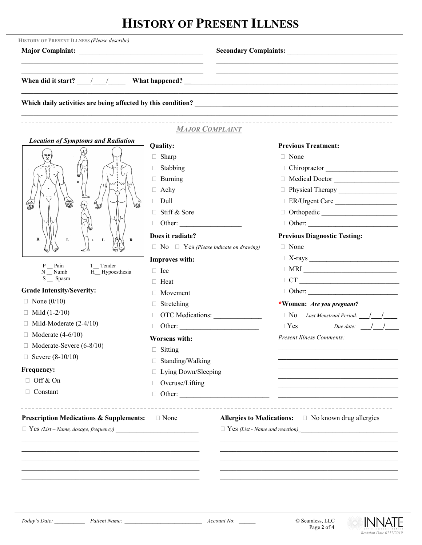# **HISTORY OF PRESENT ILLNESS**

| HISTORY OF PRESENT ILLNESS (Please describe)                                                                     |                                                   |                                                                                                                                                                                                                                                                                                                                                                                                                              |  |  |  |  |
|------------------------------------------------------------------------------------------------------------------|---------------------------------------------------|------------------------------------------------------------------------------------------------------------------------------------------------------------------------------------------------------------------------------------------------------------------------------------------------------------------------------------------------------------------------------------------------------------------------------|--|--|--|--|
|                                                                                                                  |                                                   | <u> 1989 - Johann John Harry Harry Harry Harry Harry Harry Harry Harry Harry Harry Harry Harry Harry Harry Harry</u><br>When did it start? $\frac{1}{2}$ / $\frac{1}{2}$ What happened? $\frac{1}{2}$ When did it start? $\frac{1}{2}$ / $\frac{1}{2}$ What happened? $\frac{1}{2}$ / $\frac{1}{2}$ / $\frac{1}{2}$ / $\frac{1}{2}$ / $\frac{1}{2}$ / $\frac{1}{2}$ / $\frac{1}{2}$ / $\frac{1}{2}$ / $\frac$                |  |  |  |  |
|                                                                                                                  |                                                   |                                                                                                                                                                                                                                                                                                                                                                                                                              |  |  |  |  |
|                                                                                                                  | <b>MAJOR COMPLAINT</b>                            |                                                                                                                                                                                                                                                                                                                                                                                                                              |  |  |  |  |
| <b>Location of Symptoms and Radiation</b>                                                                        | Quality:                                          | <b>Previous Treatment:</b>                                                                                                                                                                                                                                                                                                                                                                                                   |  |  |  |  |
|                                                                                                                  | $\Box$ Sharp                                      | $\Box$ None                                                                                                                                                                                                                                                                                                                                                                                                                  |  |  |  |  |
|                                                                                                                  | $\Box$ Stabbing                                   | Chiropractor                                                                                                                                                                                                                                                                                                                                                                                                                 |  |  |  |  |
|                                                                                                                  | $\Box$ Burning                                    | Medical Doctor                                                                                                                                                                                                                                                                                                                                                                                                               |  |  |  |  |
|                                                                                                                  | $\Box$ Achy                                       |                                                                                                                                                                                                                                                                                                                                                                                                                              |  |  |  |  |
| 编<br>倫脚                                                                                                          | $\Box$ Dull                                       | ER/Urgent Care                                                                                                                                                                                                                                                                                                                                                                                                               |  |  |  |  |
|                                                                                                                  | $\Box$ Stiff & Sore                               |                                                                                                                                                                                                                                                                                                                                                                                                                              |  |  |  |  |
|                                                                                                                  | $\Box$ Other:                                     |                                                                                                                                                                                                                                                                                                                                                                                                                              |  |  |  |  |
|                                                                                                                  | Does it radiate?                                  | <b>Previous Diagnostic Testing:</b>                                                                                                                                                                                                                                                                                                                                                                                          |  |  |  |  |
| $\mathbf R$<br>${\bf L}$<br>$\mathbf L$<br>R<br>$\mathbf L$                                                      | $\Box$ No $\Box$ Yes (Please indicate on drawing) | $\Box$ None                                                                                                                                                                                                                                                                                                                                                                                                                  |  |  |  |  |
|                                                                                                                  | Improves with:                                    |                                                                                                                                                                                                                                                                                                                                                                                                                              |  |  |  |  |
| Pain<br>T_Tender<br>T_Tender<br>H_Hypoesthesia<br>N Numb                                                         | $\Box$ Ice                                        |                                                                                                                                                                                                                                                                                                                                                                                                                              |  |  |  |  |
| S __ Spasm                                                                                                       | $\Box$ Heat                                       |                                                                                                                                                                                                                                                                                                                                                                                                                              |  |  |  |  |
| <b>Grade Intensity/Severity:</b>                                                                                 | $\Box$ Movement                                   |                                                                                                                                                                                                                                                                                                                                                                                                                              |  |  |  |  |
| $\Box$ None (0/10)                                                                                               | $\Box$ Stretching                                 | *Women: Are you pregnant?                                                                                                                                                                                                                                                                                                                                                                                                    |  |  |  |  |
| $\Box$ Mild (1-2/10)                                                                                             | OTC Medications:                                  | $\Box$ No Last Menstrual Period: $\Box$ /                                                                                                                                                                                                                                                                                                                                                                                    |  |  |  |  |
| $\Box$ Mild-Moderate (2-4/10)                                                                                    |                                                   | Due date: $\frac{1}{\sqrt{1-\frac{1}{1-\frac{1}{1-\frac{1}{1-\frac{1}{1-\frac{1}{1-\frac{1}{1-\frac{1}{1-\frac{1}{1-\frac{1}{1-\frac{1}{1-\frac{1}{1-\frac{1}{1-\frac{1}{1-\frac{1}{1-\frac{1}{1-\frac{1}{1-\frac{1}{1-\frac{1}{1-\frac{1}{1-\frac{1}{1-\frac{1}{1-\frac{1}{1-\frac{1}{1-\frac{1}{1-\frac{1}{1-\frac{1}{1-\frac{1}{1-\frac{1}{1-\frac{1}{1-\frac{1}{1-\frac{1}{1-\frac{1}{1-\frac{1}{1-\frac{$<br>$\Box$ Yes |  |  |  |  |
| $\Box$ Moderate (4-6/10)                                                                                         | <b>Worsens with:</b>                              | <b>Present Illness Comments:</b>                                                                                                                                                                                                                                                                                                                                                                                             |  |  |  |  |
| Moderate-Severe (6-8/10)<br>u.                                                                                   | $\Box$ Sitting                                    |                                                                                                                                                                                                                                                                                                                                                                                                                              |  |  |  |  |
| $\Box$ Severe (8-10/10)                                                                                          | □ Standing/Walking                                |                                                                                                                                                                                                                                                                                                                                                                                                                              |  |  |  |  |
| Frequency:                                                                                                       | □ Lying Down/Sleeping                             |                                                                                                                                                                                                                                                                                                                                                                                                                              |  |  |  |  |
| □ Off & On                                                                                                       | □ Overuse/Lifting                                 |                                                                                                                                                                                                                                                                                                                                                                                                                              |  |  |  |  |
| Constant                                                                                                         | $\Box$ Other:                                     |                                                                                                                                                                                                                                                                                                                                                                                                                              |  |  |  |  |
|                                                                                                                  |                                                   |                                                                                                                                                                                                                                                                                                                                                                                                                              |  |  |  |  |
| <b>Prescription Medications &amp; Supplements:</b><br>$\Box$ None<br>$\Box$ Yes (List – Name, dosage, frequency) |                                                   | Allergies to Medications:<br>$\square$ No known drug allergies                                                                                                                                                                                                                                                                                                                                                               |  |  |  |  |
|                                                                                                                  |                                                   |                                                                                                                                                                                                                                                                                                                                                                                                                              |  |  |  |  |
|                                                                                                                  |                                                   |                                                                                                                                                                                                                                                                                                                                                                                                                              |  |  |  |  |
|                                                                                                                  |                                                   |                                                                                                                                                                                                                                                                                                                                                                                                                              |  |  |  |  |
|                                                                                                                  |                                                   |                                                                                                                                                                                                                                                                                                                                                                                                                              |  |  |  |  |
|                                                                                                                  |                                                   |                                                                                                                                                                                                                                                                                                                                                                                                                              |  |  |  |  |

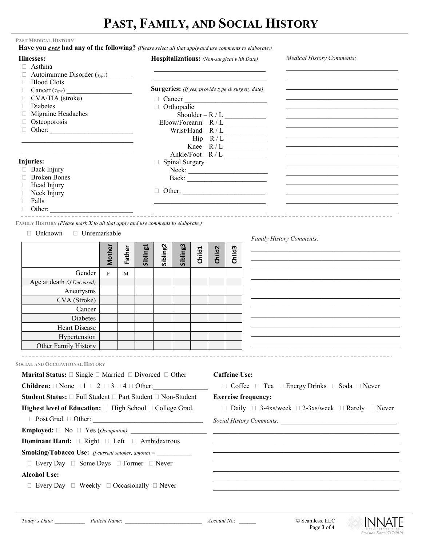# **PAST, FAMILY, AND SOCIAL HISTORY**

### **PAST MEDICAL HISTORY**

|  | Have you ever had any of the following? (Please select all that apply and use comments to elaborate.) |
|--|-------------------------------------------------------------------------------------------------------|
|--|-------------------------------------------------------------------------------------------------------|

| <b>Illnesses:</b><br>$\Box$ Asthma                                                           |                           |        |          |                                                         |                                               |        |                      |                                                                             | of the following. The last select all that apply and ase comments to ethnol<br>Hospitalizations: (Non-surgical with Date)       | <b>Medical History Comments:</b>                                                                                                                                                                                                     |
|----------------------------------------------------------------------------------------------|---------------------------|--------|----------|---------------------------------------------------------|-----------------------------------------------|--------|----------------------|-----------------------------------------------------------------------------|---------------------------------------------------------------------------------------------------------------------------------|--------------------------------------------------------------------------------------------------------------------------------------------------------------------------------------------------------------------------------------|
| $\Box$ Autoimmune Disorder ( $_{Type}$ )                                                     |                           |        |          |                                                         |                                               |        |                      |                                                                             |                                                                                                                                 |                                                                                                                                                                                                                                      |
| $\Box$ Blood Clots                                                                           |                           |        |          |                                                         |                                               |        |                      |                                                                             |                                                                                                                                 |                                                                                                                                                                                                                                      |
| $\Box$ Cancer ( <i>Type</i> )                                                                |                           |        |          | <b>Surgeries:</b> (If yes, provide type & surgery date) |                                               |        |                      |                                                                             |                                                                                                                                 |                                                                                                                                                                                                                                      |
| $\Box$ CVA/TIA (stroke)                                                                      |                           |        |          |                                                         |                                               |        |                      |                                                                             | $\Box$ Cancer                                                                                                                   |                                                                                                                                                                                                                                      |
| $\Box$ Diabetes                                                                              |                           |        |          | Orthopedic                                              |                                               |        |                      |                                                                             |                                                                                                                                 |                                                                                                                                                                                                                                      |
|                                                                                              | Migraine Headaches        |        |          |                                                         |                                               |        |                      |                                                                             | $\label{eq:shoulder} \text{Shoulder} - R \mathbin{/} L \underset{\text{spallowing} \; \mathbf{L}}{\underbrace{\qquad \qquad }}$ |                                                                                                                                                                                                                                      |
| □ Osteoporosis                                                                               |                           |        |          | $Elbow/Forearn - R / L$                                 |                                               |        |                      |                                                                             |                                                                                                                                 |                                                                                                                                                                                                                                      |
|                                                                                              |                           |        |          |                                                         |                                               |        |                      |                                                                             |                                                                                                                                 |                                                                                                                                                                                                                                      |
|                                                                                              |                           |        |          |                                                         |                                               |        |                      |                                                                             | $\text{Hip}-\text{R}/\text{L}$                                                                                                  |                                                                                                                                                                                                                                      |
|                                                                                              |                           |        |          |                                                         |                                               |        |                      |                                                                             | $Ankle/ Foot - R / L$                                                                                                           |                                                                                                                                                                                                                                      |
| Injuries:                                                                                    |                           |        |          |                                                         | $\Box$ Spinal Surgery                         |        |                      |                                                                             |                                                                                                                                 |                                                                                                                                                                                                                                      |
| $\Box$ Back Injury                                                                           |                           |        |          |                                                         |                                               |        |                      |                                                                             |                                                                                                                                 |                                                                                                                                                                                                                                      |
| <b>Broken Bones</b>                                                                          |                           |        |          |                                                         |                                               |        |                      |                                                                             |                                                                                                                                 |                                                                                                                                                                                                                                      |
| □ Head Injury                                                                                |                           |        |          |                                                         |                                               |        |                      |                                                                             |                                                                                                                                 |                                                                                                                                                                                                                                      |
| $\Box$ Neck Injury                                                                           |                           |        |          |                                                         |                                               |        |                      |                                                                             |                                                                                                                                 |                                                                                                                                                                                                                                      |
| $\Box$ Falls                                                                                 |                           |        |          |                                                         |                                               |        |                      |                                                                             |                                                                                                                                 |                                                                                                                                                                                                                                      |
|                                                                                              |                           |        |          |                                                         |                                               |        |                      |                                                                             |                                                                                                                                 |                                                                                                                                                                                                                                      |
| FAMILY HISTORY (Please mark X to all that apply and use comments to elaborate.)              |                           |        |          |                                                         |                                               |        |                      |                                                                             |                                                                                                                                 |                                                                                                                                                                                                                                      |
| $\Box$ Unknown                                                                               |                           |        |          |                                                         |                                               |        |                      |                                                                             |                                                                                                                                 |                                                                                                                                                                                                                                      |
|                                                                                              | □ Unremarkable            |        |          |                                                         |                                               |        |                      |                                                                             |                                                                                                                                 | Family History Comments:                                                                                                                                                                                                             |
|                                                                                              |                           |        | Sibling1 | Sibling <sub>2</sub>                                    | Sibling3                                      |        |                      |                                                                             |                                                                                                                                 |                                                                                                                                                                                                                                      |
|                                                                                              | Mother                    | Father |          |                                                         |                                               | Child1 | Child <sub>2</sub>   | Child <sub>3</sub>                                                          |                                                                                                                                 |                                                                                                                                                                                                                                      |
|                                                                                              |                           |        |          |                                                         |                                               |        |                      |                                                                             |                                                                                                                                 |                                                                                                                                                                                                                                      |
| Gender                                                                                       | $\boldsymbol{\mathrm{F}}$ | M      |          |                                                         |                                               |        |                      |                                                                             |                                                                                                                                 |                                                                                                                                                                                                                                      |
| Age at death (if Deceased)                                                                   |                           |        |          |                                                         |                                               |        |                      |                                                                             |                                                                                                                                 |                                                                                                                                                                                                                                      |
| Aneurysms                                                                                    |                           |        |          |                                                         |                                               |        |                      |                                                                             |                                                                                                                                 |                                                                                                                                                                                                                                      |
| CVA (Stroke)                                                                                 |                           |        |          |                                                         |                                               |        |                      |                                                                             |                                                                                                                                 |                                                                                                                                                                                                                                      |
| Cancer                                                                                       |                           |        |          |                                                         |                                               |        |                      |                                                                             |                                                                                                                                 |                                                                                                                                                                                                                                      |
| Diabetes                                                                                     |                           |        |          |                                                         |                                               |        |                      |                                                                             |                                                                                                                                 |                                                                                                                                                                                                                                      |
| Heart Disease                                                                                |                           |        |          |                                                         |                                               |        |                      |                                                                             |                                                                                                                                 |                                                                                                                                                                                                                                      |
| Hypertension                                                                                 |                           |        |          |                                                         |                                               |        |                      |                                                                             |                                                                                                                                 |                                                                                                                                                                                                                                      |
| Other Family History                                                                         |                           |        |          |                                                         |                                               |        |                      |                                                                             |                                                                                                                                 |                                                                                                                                                                                                                                      |
|                                                                                              |                           |        |          |                                                         |                                               |        |                      |                                                                             |                                                                                                                                 |                                                                                                                                                                                                                                      |
| <b>SOCIAL AND OCCUPATIONAL HISTORY</b>                                                       |                           |        |          |                                                         |                                               |        |                      |                                                                             |                                                                                                                                 |                                                                                                                                                                                                                                      |
|                                                                                              |                           |        |          |                                                         |                                               |        |                      |                                                                             |                                                                                                                                 |                                                                                                                                                                                                                                      |
| <b>Marital Status:</b> $\square$ Single $\square$ Married $\square$ Divorced $\square$ Other |                           |        |          |                                                         |                                               |        | <b>Caffeine Use:</b> |                                                                             |                                                                                                                                 |                                                                                                                                                                                                                                      |
| <b>Children:</b> $\Box$ None $\Box$ 1 $\Box$ 2 $\Box$ 3 $\Box$ 4 $\Box$ Other:               |                           |        |          |                                                         | □ Coffee □ Tea □ Energy Drinks □ Soda □ Never |        |                      |                                                                             |                                                                                                                                 |                                                                                                                                                                                                                                      |
| Student Status: □ Full Student □ Part Student □ Non-Student                                  |                           |        |          |                                                         | <b>Exercise frequency:</b>                    |        |                      |                                                                             |                                                                                                                                 |                                                                                                                                                                                                                                      |
| Highest level of Education: $\Box$ High School $\Box$ College Grad.                          |                           |        |          |                                                         |                                               |        |                      | $\Box$ Daily $\Box$ 3-4xs/week $\Box$ 2-3xs/week $\Box$ Rarely $\Box$ Never |                                                                                                                                 |                                                                                                                                                                                                                                      |
|                                                                                              |                           |        |          |                                                         |                                               |        |                      |                                                                             |                                                                                                                                 |                                                                                                                                                                                                                                      |
|                                                                                              |                           |        |          |                                                         |                                               |        |                      |                                                                             |                                                                                                                                 | <u> 1989 - Johann Stoff, amerikansk politiker (d. 1989)</u>                                                                                                                                                                          |
| <b>Dominant Hand:</b> $\Box$ Right $\Box$ Left $\Box$ Ambidextrous                           |                           |        |          |                                                         |                                               |        |                      |                                                                             |                                                                                                                                 | the control of the control of the control of the control of the control of the control of the control of the control of the control of the control of the control of the control of the control of the control of the control        |
| <b>Smoking/Tobacco Use:</b> If current smoker, amount =                                      |                           |        |          |                                                         |                                               |        |                      |                                                                             |                                                                                                                                 | <u> 1990 - Johann John Stoff, amerikan besteckte staten in der staten besteckte staten in der staten in der staten in der staten in der staten in der staten in der staten in der staten in der staten in der staten in der stat</u> |
| $\Box$ Every Day $\Box$ Some Days $\Box$ Former $\Box$ Never                                 |                           |        |          |                                                         |                                               |        |                      |                                                                             |                                                                                                                                 |                                                                                                                                                                                                                                      |
| <b>Alcohol Use:</b>                                                                          |                           |        |          |                                                         |                                               |        |                      |                                                                             |                                                                                                                                 |                                                                                                                                                                                                                                      |
| $\Box$ Every Day $\Box$ Weekly $\Box$ Occasionally $\Box$ Never                              |                           |        |          |                                                         |                                               |        |                      |                                                                             |                                                                                                                                 |                                                                                                                                                                                                                                      |